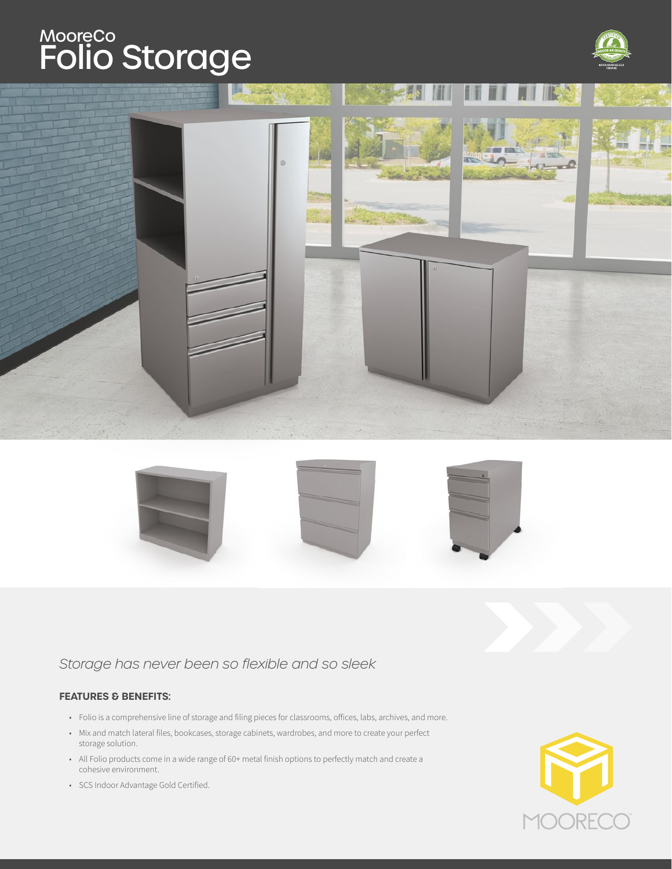# Folio Storage MooreCo





### *Storage has never been so flexible and so sleek*

### **FEATURES & BENEFITS:**

- Folio is a comprehensive line of storage and filing pieces for classrooms, offices, labs, archives, and more.
- Mix and match lateral files, bookcases, storage cabinets, wardrobes, and more to create your perfect storage solution.
- All Folio products come in a wide range of 60+ metal finish options to perfectly match and create a cohesive environment.

**DRE** MO(

• SCS Indoor Advantage Gold Certified.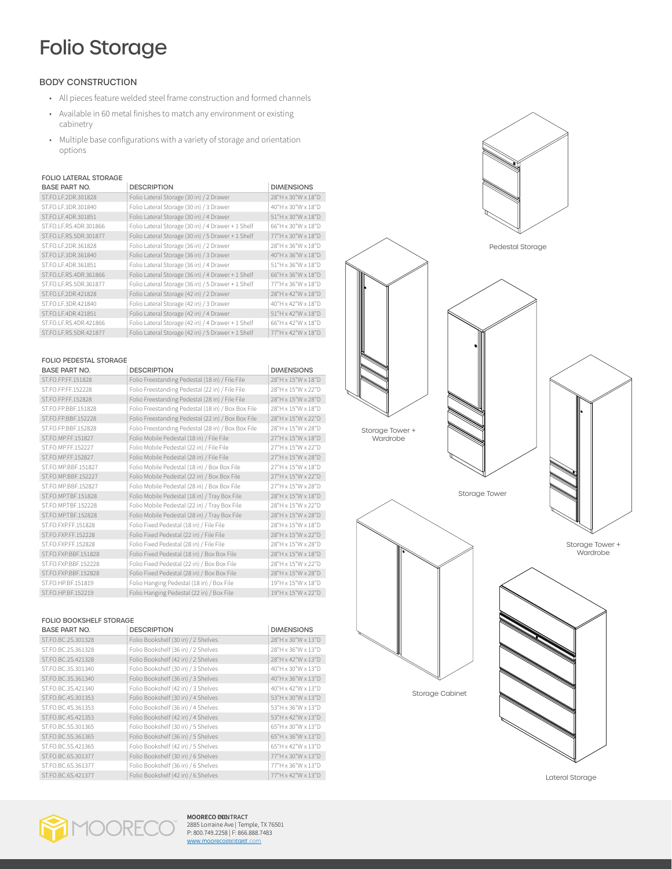# Folio Storage

### BODY CONSTRUCTION

- All pieces feature welded steel frame construction and formed channels
- Available in 60 metal finishes to match any environment or existing cabinetry
- Multiple base configurations with a variety of storage and orientation options

### FOLIO LATERAL STORAGE

| <b>BASE PART NO.</b>      | <b>DESCRIPTION</b>                                 | <b>DIMENSIONS</b>  |
|---------------------------|----------------------------------------------------|--------------------|
| ST.FO.LF.2DR.301828       | Folio Lateral Storage (30 in) / 2 Drawer           | 28"H x 30"W x 18"D |
| ST.FO.LF.3DR.301840       | Folio Lateral Storage (30 in) / 3 Drawer           | 40"H x 30"W x 18"D |
| ST.FO.LF.4DR.301851       | Folio Lateral Storage (30 in) / 4 Drawer           | 51"H x 30"W x 18"D |
| ST.FO.LF.RS.4DR.301866    | Folio Lateral Storage (30 in) / 4 Drawer + 1 Shelf | 66"H x 30"W x 18"D |
| ST.FO.LF.RS.5DR.301877    | Folio Lateral Storage (30 in) / 5 Drawer + 1 Shelf | 77"H x 30"W x 18"D |
| ST.FO.LF.2DR.361828       | Folio Lateral Storage (36 in) / 2 Drawer           | 28"H x 36"W x 18"D |
| ST.FO.LF.3DR.361840       | Folio Lateral Storage (36 in) / 3 Drawer           | 40"H x 36"W x 18"D |
| ST.FO.I F.4DR.361851      | Folio Lateral Storage (36 in) / 4 Drawer           | 51"H x 36"W x 18"D |
| ST.FO.I F.R.S. 4DR.361866 | Folio Lateral Storage (36 in) / 4 Drawer + 1 Shelf | 66"H x 36"W x 18"D |
| ST.FO.I F.R.S.5DR.361877  | Folio Lateral Storage (36 in) / 5 Drawer + 1 Shelf | 77"H x 36"W x 18"D |
| ST.FO.LF.2DR.421828       | Folio Lateral Storage (42 in) / 2 Drawer           | 28"H x 42"W x 18"D |
| ST.FO.LF.3DR.421840       | Folio Lateral Storage (42 in) / 3 Drawer           | 40"H x 42"W x 18"D |
| ST.FO.LF.4DR.421851       | Folio Lateral Storage (42 in) / 4 Drawer           | 51"H x 42"W x 18"D |
| ST.FO.LF.RS.4DR.421866    | Folio Lateral Storage (42 in) / 4 Drawer + 1 Shelf | 66"H x 42"W x 18"D |
| ST.FO.LF.RS.5DR.421877    | Folio Lateral Storage (42 in) / 5 Drawer + 1 Shelf | 77"H x 42"W x 18"D |

| <b>FOLIO PEDESTAL STORAGE</b> |                                                    |                    |  |
|-------------------------------|----------------------------------------------------|--------------------|--|
| <b>BASE PART NO.</b>          | <b>DESCRIPTION</b>                                 | <b>DIMENSIONS</b>  |  |
| ST.FO.FP.FF.151828            | Folio Freestanding Pedestal (18 in) / File File    | 28"H x 15"W x 18"D |  |
| ST.FO.FP.FF.152228            | Folio Freestanding Pedestal (22 in) / File File    | 28"H x 15"W x 22"D |  |
| ST.FO.FP.FF.152828            | Folio Freestanding Pedestal (28 in) / File File    | 28"H x 15"W x 28"D |  |
| ST.FO.FP.BBE.151828           | Folio Freestanding Pedestal (18 in) / Box Box File | 28"H x 15"W x 18"D |  |
| ST.FO.FP.BBF.152228           | Folio Freestanding Pedestal (22 in) / Box Box File | 28"H x 15"W x 22"D |  |
| ST.FO.FP.BBE.152828           | Folio Freestanding Pedestal (28 in) / Box Box File | 28"H x 15"W x 28"D |  |
| ST.FO.MP.FF.151827            | Folio Mobile Pedestal (18 in) / File File          | 27"H x 15"W x 18"D |  |
| ST.FO.MP.FF.152227            | Folio Mobile Pedestal (22 in) / File File          | 27"H x 15"W x 22"D |  |
| ST.FO.MP.FF.152827            | Folio Mobile Pedestal (28 in) / File File          | 27"H x 15"W x 28"D |  |
| ST.FO.MP.BBE.151827           | Folio Mobile Pedestal (18 in) / Box Box File       | 27"H x 15"W x 18"D |  |
| ST.FO.MP.BBF.152227           | Folio Mobile Pedestal (22 in) / Box Box File       | 27"H x 15"W x 22"D |  |
| ST.FO.MP.BBE.152827           | Folio Mobile Pedestal (28 in) / Box Box File       | 27"H x 15"W x 28"D |  |
| ST.FO.MP.TBF.151828           | Folio Mobile Pedestal (18 in) / Tray Box File      | 28"H x 15"W x 18"D |  |
| ST.FO.MP.TBE.152228           | Folio Mobile Pedestal (22 in) / Tray Box File      | 28"H x 15"W x 22"D |  |
| ST.FO.MP.TBF.152828           | Folio Mobile Pedestal (28 in) / Tray Box File      | 28"H x 15"W x 28"D |  |
| ST.FO.FXP.FF.151828           | Folio Fixed Pedestal (18 in) / File File           | 28"H x 15"W x 18"D |  |
| ST.FO.FXP.FF.152228           | Folio Fixed Pedestal (22 in) / File File           | 28"H x 15"W x 22"D |  |
| ST.FO.FXP.FF.152828           | Folio Fixed Pedestal (28 in) / File File           | 28"H x 15"W x 28"D |  |
| ST.FO.FXP.BBF.151828          | Folio Fixed Pedestal (18 in) / Box Box File        | 28"H x 15"W x 18"D |  |
| ST.FO.FXP.BBF.152228          | Folio Fixed Pedestal (22 in) / Box Box File        | 28"H x 15"W x 22"D |  |
| ST.FO.FXP.BBF.152828          | Folio Fixed Pedestal (28 in) / Box Box File        | 28"H x 15"W x 28"D |  |
| ST.FO.HP.BE.151819            | Folio Hanging Pedestal (18 in) / Box File          | 19"H x 15"W x 18"D |  |
| ST.FO.HP.BE.152219            | Folio Hanging Pedestal (22 in) / Box File          | 19"H x 15"W x 22"D |  |

#### FOLIO BOOKSHELF STORAGE

| <b>BASE PART NO.</b> | <b>DESCRIPTION</b>                  | <b>DIMENSIONS</b>  |
|----------------------|-------------------------------------|--------------------|
| ST.FO.BC.2S.301328   | Folio Bookshelf (30 in) / 2 Shelves | 28"H x 30"W x 13"D |
| ST.FO.BC.2S.361328   | Folio Bookshelf (36 in) / 2 Shelves | 28"H x 36"W x 13"D |
| ST.FO.BC.2S.421328   | Folio Bookshelf (42 in) / 2 Shelves | 28"H x 42"W x 13"D |
| ST.FO.BC.3S.301340   | Folio Bookshelf (30 in) / 3 Shelves | 40"H x 30"W x 13"D |
| ST.FO.BC.3S.361340   | Folio Bookshelf (36 in) / 3 Shelves | 40"H x 36"W x 13"D |
| ST.FO.BC.3S.421340   | Folio Bookshelf (42 in) / 3 Shelves | 40"H x 42"W x 13"D |
| ST.FO.BC.4S.301353   | Folio Bookshelf (30 in) / 4 Shelves | 53"H x 30"W x 13"D |
| ST.FO.BC.4S.361353   | Folio Bookshelf (36 in) / 4 Shelves | 53"H x 36"W x 13"D |
| ST.FO.BC.4S.421353   | Folio Bookshelf (42 in) / 4 Shelves | 53"H x 42"W x 13"D |
| ST.FO.BC.5S.301365   | Folio Bookshelf (30 in) / 5 Shelves | 65"H x 30"W x 13"D |
| ST.FO.BC.5S.361365   | Folio Bookshelf (36 in) / 5 Shelves | 65"H x 36"W x 13"D |
| ST.FO.BC.5S.421365   | Folio Bookshelf (42 in) / 5 Shelves | 65"H x 42"W x 13"D |
| ST.FO.BC.6S.301377   | Folio Bookshelf (30 in) / 6 Shelves | 77"H x 30"W x 13"D |
| ST.FO.BC.6S.361377   | Folio Bookshelf (36 in) / 6 Shelves | 77"H x 36"W x 13"D |
| ST.FO.BC.6S.421377   | Folio Bookshelf (42 in) / 6 Shelves | 77"H x 42"W x 13"D |



Lateral Storage



**MOORECO DODITRACT** 2885 Lorraine Ave | Temple, TX 76501 P: 800.749.2258 | F: 866.888.7483 www.moorecoirentrac[t.com](http://moorecocontract.com)